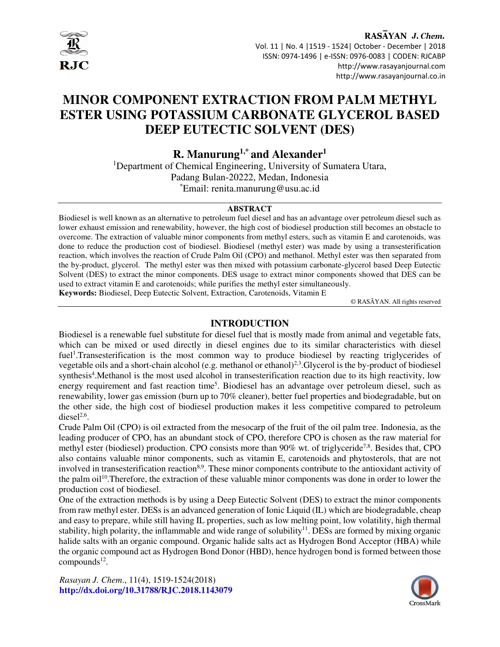

RASAYAN J. Chem. Vol. 11 | No. 4 |1519 - 1524| October - December | 2018 ISSN: 0974-1496 | e-ISSN: 0976-0083 | CODEN: RJCABP http://www.rasayanjournal.com http://www.rasayanjournal.co.in

# **MINOR COMPONENT EXTRACTION FROM PALM METHYL ESTER USING POTASSIUM CARBONATE GLYCEROL BASED DEEP EUTECTIC SOLVENT (DES)**

**R. Manurung1,\* and Alexander<sup>1</sup>**

<sup>1</sup>Department of Chemical Engineering, University of Sumatera Utara, Padang Bulan-20222, Medan, Indonesia \*Email: renita.manurung@usu.ac.id

#### **ABSTRACT**

Biodiesel is well known as an alternative to petroleum fuel diesel and has an advantage over petroleum diesel such as lower exhaust emission and renewability, however, the high cost of biodiesel production still becomes an obstacle to overcome. The extraction of valuable minor components from methyl esters, such as vitamin E and carotenoids, was done to reduce the production cost of biodiesel. Biodiesel (methyl ester) was made by using a transesterification reaction, which involves the reaction of Crude Palm Oil (CPO) and methanol. Methyl ester was then separated from the by-product, glycerol. The methyl ester was then mixed with potassium carbonate-glycerol based Deep Eutectic Solvent (DES) to extract the minor components. DES usage to extract minor components showed that DES can be used to extract vitamin E and carotenoids; while purifies the methyl ester simultaneously. **Keywords:** Biodiesel, Deep Eutectic Solvent, Extraction, Carotenoids, Vitamin E

© RASĀYAN. All rights reserved

#### **INTRODUCTION**

Biodiesel is a renewable fuel substitute for diesel fuel that is mostly made from animal and vegetable fats, which can be mixed or used directly in diesel engines due to its similar characteristics with diesel fuel<sup>1</sup>. Transesterification is the most common way to produce biodiesel by reacting triglycerides of vegetable oils and a short-chain alcohol (e.g. methanol or ethanol)2,3.Glycerol is the by-product of biodiesel synthesis<sup>4</sup>. Methanol is the most used alcohol in transesterification reaction due to its high reactivity, low energy requirement and fast reaction time<sup>5</sup>. Biodiesel has an advantage over petroleum diesel, such as renewability, lower gas emission (burn up to 70% cleaner), better fuel properties and biodegradable, but on the other side, the high cost of biodiesel production makes it less competitive compared to petroleum diesel $2,6$ .

Crude Palm Oil (CPO) is oil extracted from the mesocarp of the fruit of the oil palm tree. Indonesia, as the leading producer of CPO, has an abundant stock of CPO, therefore CPO is chosen as the raw material for methyl ester (biodiesel) production. CPO consists more than 90% wt. of triglyceride<sup>7,8</sup>. Besides that, CPO also contains valuable minor components, such as vitamin E, carotenoids and phytosterols, that are not involved in transesterification reaction<sup>8,9</sup>. These minor components contribute to the antioxidant activity of the palm oil<sup>10</sup>. Therefore, the extraction of these valuable minor components was done in order to lower the production cost of biodiesel.

One of the extraction methods is by using a Deep Eutectic Solvent (DES) to extract the minor components from raw methyl ester. DESs is an advanced generation of Ionic Liquid (IL) which are biodegradable, cheap and easy to prepare, while still having IL properties, such as low melting point, low volatility, high thermal stability, high polarity, the inflammable and wide range of solubility<sup>11</sup>. DESs are formed by mixing organic halide salts with an organic compound. Organic halide salts act as Hydrogen Bond Acceptor (HBA) while the organic compound act as Hydrogen Bond Donor (HBD), hence hydrogen bond is formed between those  $compounds<sup>12</sup>$ .

*Rasayan J. Chem*., 11(4), 1519-1524(2018) **http://dx.doi.org/10.31788/RJC.2018.1143079**

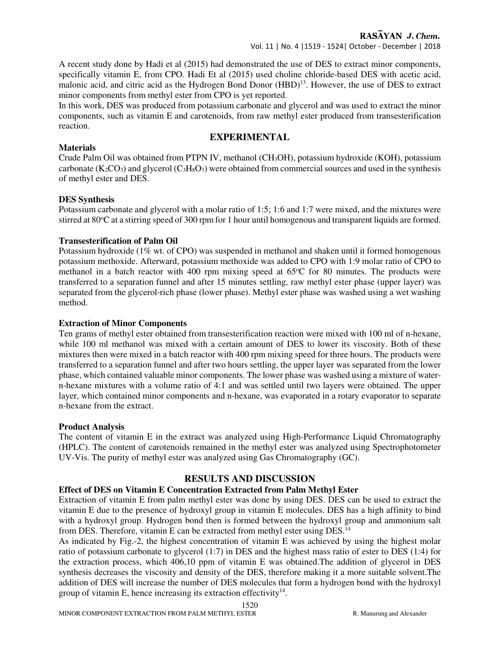## Vol. 11 | No. 4 |1519 - 1524| October - December | 2018

A recent study done by Hadi et al (2015) had demonstrated the use of DES to extract minor components, specifically vitamin E, from CPO. Hadi Et al (2015) used choline chloride-based DES with acetic acid, malonic acid, and citric acid as the Hydrogen Bond Donor (HBD)<sup>13</sup>. However, the use of DES to extract minor components from methyl ester from CPO is yet reported.

In this work, DES was produced from potassium carbonate and glycerol and was used to extract the minor components, such as vitamin E and carotenoids, from raw methyl ester produced from transesterification reaction.

# **EXPERIMENTAL**

## **Materials**

Crude Palm Oil was obtained from PTPN IV, methanol (CH3OH), potassium hydroxide (KOH), potassium carbonate  $(K_2CO_3)$  and glycerol  $(C_3H_8O_3)$  were obtained from commercial sources and used in the synthesis of methyl ester and DES.

## **DES Synthesis**

Potassium carbonate and glycerol with a molar ratio of 1:5; 1:6 and 1:7 were mixed, and the mixtures were stirred at 80<sup>o</sup>C at a stirring speed of 300 rpm for 1 hour until homogenous and transparent liquids are formed.

## **Transesterification of Palm Oil**

Potassium hydroxide (1% wt. of CPO) was suspended in methanol and shaken until it formed homogenous potassium methoxide. Afterward, potassium methoxide was added to CPO with 1:9 molar ratio of CPO to methanol in a batch reactor with 400 rpm mixing speed at  $65^{\circ}$ C for 80 minutes. The products were transferred to a separation funnel and after 15 minutes settling, raw methyl ester phase (upper layer) was separated from the glycerol-rich phase (lower phase). Methyl ester phase was washed using a wet washing method.

## **Extraction of Minor Components**

Ten grams of methyl ester obtained from transesterification reaction were mixed with 100 ml of n-hexane, while 100 ml methanol was mixed with a certain amount of DES to lower its viscosity. Both of these mixtures then were mixed in a batch reactor with 400 rpm mixing speed for three hours. The products were transferred to a separation funnel and after two hours settling, the upper layer was separated from the lower phase, which contained valuable minor components. The lower phase was washed using a mixture of watern-hexane mixtures with a volume ratio of 4:1 and was settled until two layers were obtained. The upper layer, which contained minor components and n-hexane, was evaporated in a rotary evaporator to separate n-hexane from the extract.

#### **Product Analysis**

The content of vitamin E in the extract was analyzed using High-Performance Liquid Chromatography (HPLC). The content of carotenoids remained in the methyl ester was analyzed using Spectrophotometer UV-Vis. The purity of methyl ester was analyzed using Gas Chromatography (GC).

# **RESULTS AND DISCUSSION**

# **Effect of DES on Vitamin E Concentration Extracted from Palm Methyl Ester**

Extraction of vitamin E from palm methyl ester was done by using DES. DES can be used to extract the vitamin E due to the presence of hydroxyl group in vitamin E molecules. DES has a high affinity to bind with a hydroxyl group. Hydrogen bond then is formed between the hydroxyl group and ammonium salt from DES. Therefore, vitamin E can be extracted from methyl ester using DES.<sup>14</sup>

As indicated by Fig.-2, the highest concentration of vitamin E was achieved by using the highest molar ratio of potassium carbonate to glycerol (1:7) in DES and the highest mass ratio of ester to DES (1:4) for the extraction process, which 406,10 ppm of vitamin E was obtained.The addition of glycerol in DES synthesis decreases the viscosity and density of the DES, therefore making it a more suitable solvent.The addition of DES will increase the number of DES molecules that form a hydrogen bond with the hydroxyl group of vitamin E, hence increasing its extraction effectivity $14$ .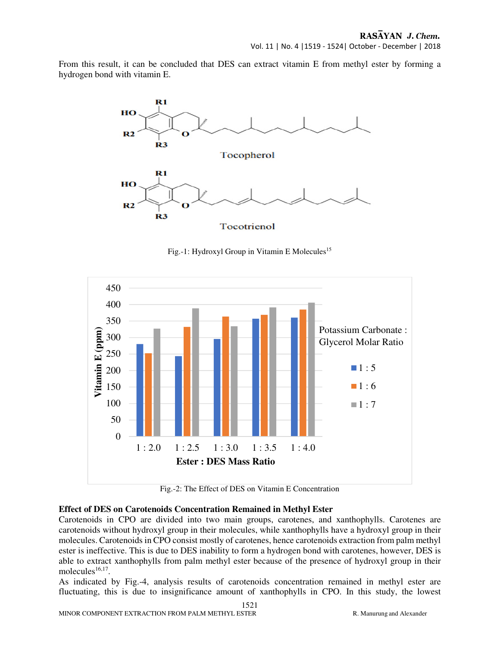Vol. 11 | No. 4 |1519 - 1524| October - December | 2018

From this result, it can be concluded that DES can extract vitamin E from methyl ester by forming a hydrogen bond with vitamin E.



Fig.-1: Hydroxyl Group in Vitamin E Molecules<sup>15</sup>



Fig.-2: The Effect of DES on Vitamin E Concentration

#### **Effect of DES on Carotenoids Concentration Remained in Methyl Ester**

Carotenoids in CPO are divided into two main groups, carotenes, and xanthophylls. Carotenes are carotenoids without hydroxyl group in their molecules, while xanthophylls have a hydroxyl group in their molecules. Carotenoids in CPO consist mostly of carotenes, hence carotenoids extraction from palm methyl ester is ineffective. This is due to DES inability to form a hydrogen bond with carotenes, however, DES is able to extract xanthophylls from palm methyl ester because of the presence of hydroxyl group in their molecules $16,17$ .

As indicated by Fig.-4, analysis results of carotenoids concentration remained in methyl ester are fluctuating, this is due to insignificance amount of xanthophylls in CPO. In this study, the lowest

1521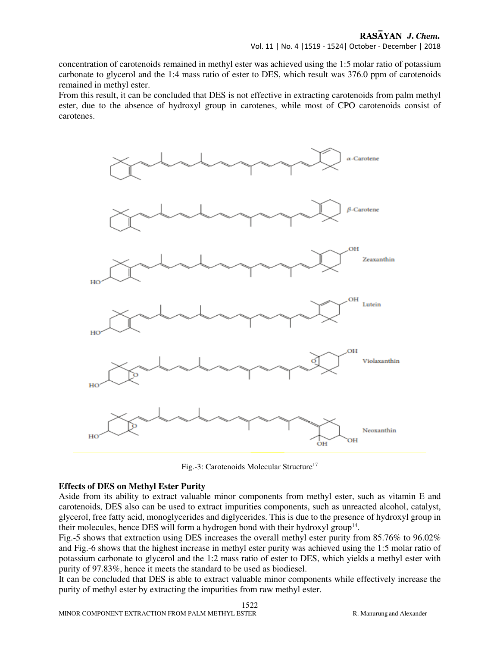concentration of carotenoids remained in methyl ester was achieved using the 1:5 molar ratio of potassium carbonate to glycerol and the 1:4 mass ratio of ester to DES, which result was 376.0 ppm of carotenoids remained in methyl ester.

From this result, it can be concluded that DES is not effective in extracting carotenoids from palm methyl ester, due to the absence of hydroxyl group in carotenes, while most of CPO carotenoids consist of carotenes.



Fig.-3: Carotenoids Molecular Structure<sup>17</sup>

#### **Effects of DES on Methyl Ester Purity**

Aside from its ability to extract valuable minor components from methyl ester, such as vitamin E and carotenoids, DES also can be used to extract impurities components, such as unreacted alcohol, catalyst, glycerol, free fatty acid, monoglycerides and diglycerides. This is due to the presence of hydroxyl group in their molecules, hence DES will form a hydrogen bond with their hydroxyl group<sup>14</sup>.

Fig.-5 shows that extraction using DES increases the overall methyl ester purity from 85.76% to 96.02% and Fig.-6 shows that the highest increase in methyl ester purity was achieved using the 1:5 molar ratio of potassium carbonate to glycerol and the 1:2 mass ratio of ester to DES, which yields a methyl ester with purity of 97.83%, hence it meets the standard to be used as biodiesel.

It can be concluded that DES is able to extract valuable minor components while effectively increase the purity of methyl ester by extracting the impurities from raw methyl ester.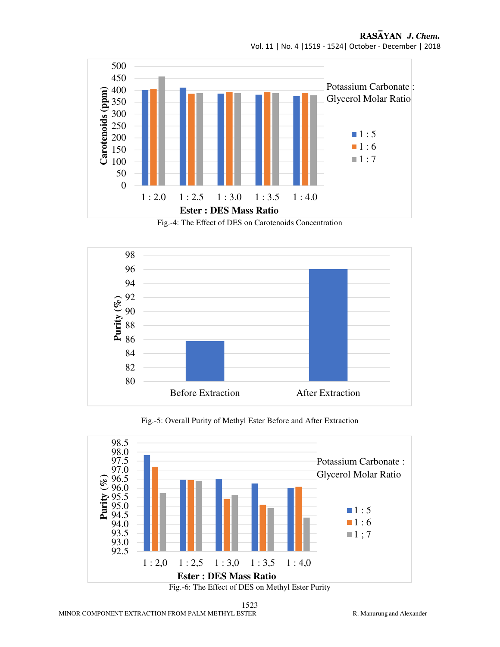

Fig.-4: The Effect of DES on Carotenoids Concentration



Fig.-5: Overall Purity of Methyl Ester Before and After Extraction



1523 MINOR COMPONENT EXTRACTION FROM PALM METHYL ESTER RESERVED BY R. Manurung and Alexander